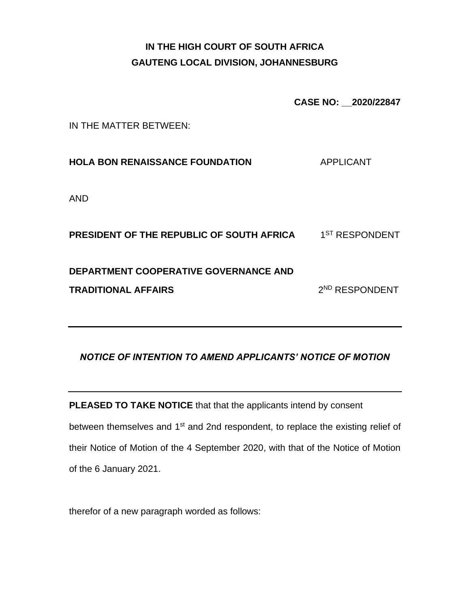# **IN THE HIGH COURT OF SOUTH AFRICA GAUTENG LOCAL DIVISION, JOHANNESBURG**

**CASE NO: \_\_2020/22847**

IN THE MATTER BETWEEN:

**HOLA BON RENAISSANCE FOUNDATION** APPLICANT

AND

**PRESIDENT OF THE REPUBLIC OF SOUTH AFRICA** 1 1<sup>ST</sup> RESPONDENT **DEPARTMENT COOPERATIVE GOVERNANCE AND TRADITIONAL AFFAIRS** 2 2<sup>ND</sup> RESPONDENT

## *NOTICE OF INTENTION TO AMEND APPLICANTS' NOTICE OF MOTION*

**PLEASED TO TAKE NOTICE** that that the applicants intend by consent between themselves and 1<sup>st</sup> and 2nd respondent, to replace the existing relief of their Notice of Motion of the 4 September 2020, with that of the Notice of Motion of the 6 January 2021.

therefor of a new paragraph worded as follows: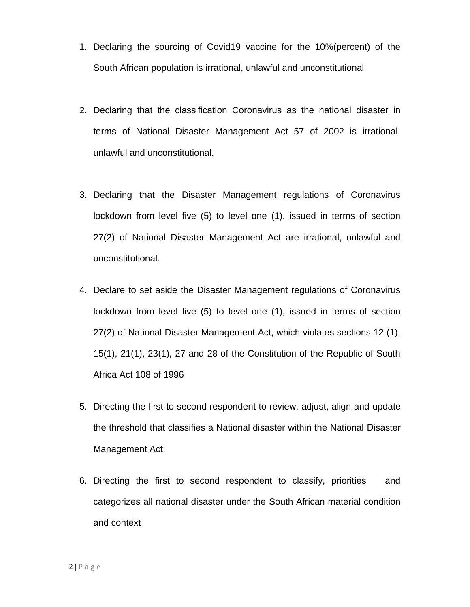- 1. Declaring the sourcing of Covid19 vaccine for the 10%(percent) of the South African population is irrational, unlawful and unconstitutional
- 2. Declaring that the classification Coronavirus as the national disaster in terms of National Disaster Management Act 57 of 2002 is irrational, unlawful and unconstitutional.
- 3. Declaring that the Disaster Management regulations of Coronavirus lockdown from level five (5) to level one (1), issued in terms of section 27(2) of National Disaster Management Act are irrational, unlawful and unconstitutional.
- 4. Declare to set aside the Disaster Management regulations of Coronavirus lockdown from level five (5) to level one (1), issued in terms of section 27(2) of National Disaster Management Act, which violates sections 12 (1), 15(1), 21(1), 23(1), 27 and 28 of the Constitution of the Republic of South Africa Act 108 of 1996
- 5. Directing the first to second respondent to review, adjust, align and update the threshold that classifies a National disaster within the National Disaster Management Act.
- 6. Directing the first to second respondent to classify, priorities and categorizes all national disaster under the South African material condition and context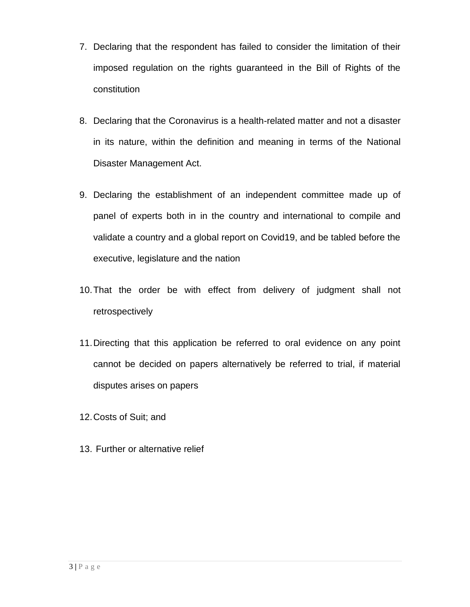- 7. Declaring that the respondent has failed to consider the limitation of their imposed regulation on the rights guaranteed in the Bill of Rights of the constitution
- 8. Declaring that the Coronavirus is a health-related matter and not a disaster in its nature, within the definition and meaning in terms of the National Disaster Management Act.
- 9. Declaring the establishment of an independent committee made up of panel of experts both in in the country and international to compile and validate a country and a global report on Covid19, and be tabled before the executive, legislature and the nation
- 10.That the order be with effect from delivery of judgment shall not retrospectively
- 11.Directing that this application be referred to oral evidence on any point cannot be decided on papers alternatively be referred to trial, if material disputes arises on papers
- 12.Costs of Suit; and
- 13. Further or alternative relief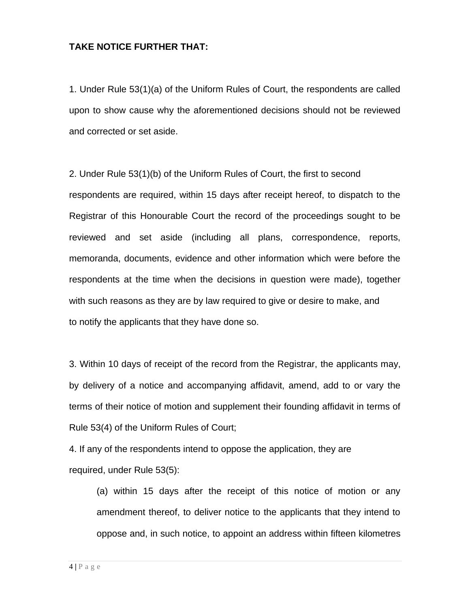#### **TAKE NOTICE FURTHER THAT:**

1. Under Rule 53(1)(a) of the Uniform Rules of Court, the respondents are called upon to show cause why the aforementioned decisions should not be reviewed and corrected or set aside.

2. Under Rule 53(1)(b) of the Uniform Rules of Court, the first to second respondents are required, within 15 days after receipt hereof, to dispatch to the Registrar of this Honourable Court the record of the proceedings sought to be reviewed and set aside (including all plans, correspondence, reports, memoranda, documents, evidence and other information which were before the respondents at the time when the decisions in question were made), together with such reasons as they are by law required to give or desire to make, and to notify the applicants that they have done so.

3. Within 10 days of receipt of the record from the Registrar, the applicants may, by delivery of a notice and accompanying affidavit, amend, add to or vary the terms of their notice of motion and supplement their founding affidavit in terms of Rule 53(4) of the Uniform Rules of Court;

4. If any of the respondents intend to oppose the application, they are required, under Rule 53(5):

(a) within 15 days after the receipt of this notice of motion or any amendment thereof, to deliver notice to the applicants that they intend to oppose and, in such notice, to appoint an address within fifteen kilometres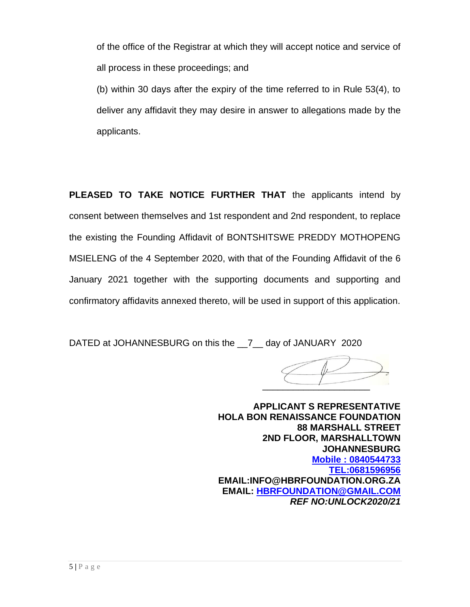of the office of the Registrar at which they will accept notice and service of all process in these proceedings; and

(b) within 30 days after the expiry of the time referred to in Rule 53(4), to deliver any affidavit they may desire in answer to allegations made by the applicants.

**PLEASED TO TAKE NOTICE FURTHER THAT** the applicants intend by consent between themselves and 1st respondent and 2nd respondent, to replace the existing the Founding Affidavit of BONTSHITSWE PREDDY MOTHOPENG MSIELENG of the 4 September 2020, with that of the Founding Affidavit of the 6 January 2021 together with the supporting documents and supporting and confirmatory affidavits annexed thereto, will be used in support of this application.

DATED at JOHANNESBURG on this the 7 day of JANUARY 2020

 $\overline{\phantom{a}}$ 

**APPLICANT S REPRESENTATIVE HOLA BON RENAISSANCE FOUNDATION 88 MARSHALL STREET 2ND FLOOR, MARSHALLTOWN JOHANNESBURG Mobile : 0840544733 [TEL:0681596956](tel:0681596956) EMAIL:INFO@HBRFOUNDATION.ORG.ZA EMAIL: [HBRFOUNDATION@GMAIL.COM](mailto:HBRFOUNDATION@GMAIL.COM)** *REF NO:UNLOCK2020/21*